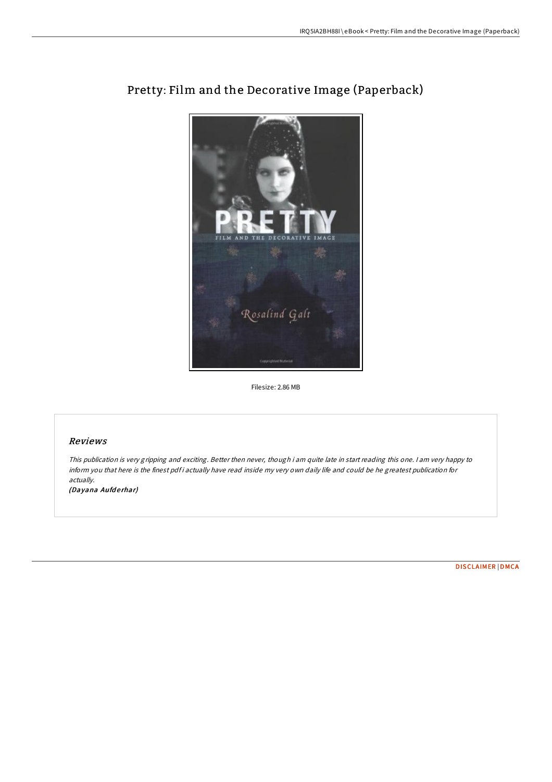

# Pretty: Film and the Decorative Image (Paperback)

Filesize: 2.86 MB

# Reviews

This publication is very gripping and exciting. Better then never, though i am quite late in start reading this one. I am very happy to inform you that here is the finest pdf i actually have read inside my very own daily life and could be he greatest publication for actually.

(Dayana Aufderhar)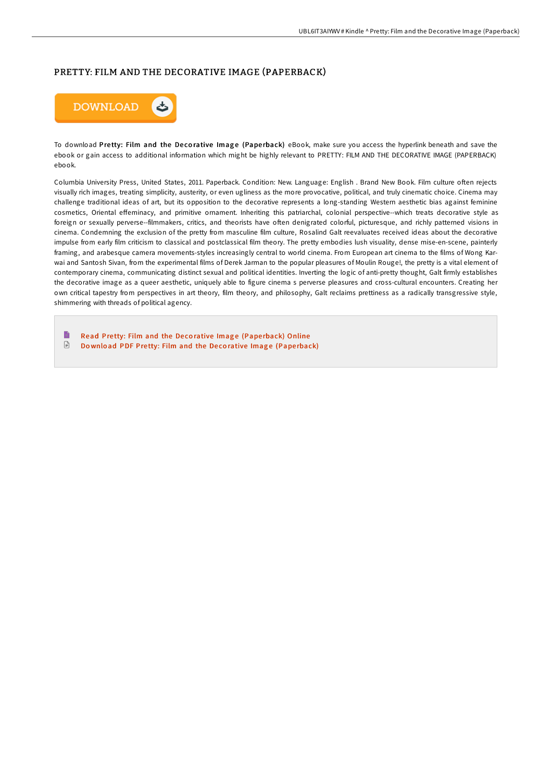## PRETTY: FILM AND THE DECORATIVE IMAGE (PAPERBACK)



To download Pretty: Film and the Decorative Image (Paperback) eBook, make sure you access the hyperlink beneath and save the ebook or gain access to additional information which might be highly relevant to PRETTY: FILM AND THE DECORATIVE IMAGE (PAPERBACK) ebook.

Columbia University Press, United States, 2011. Paperback. Condition: New. Language: English . Brand New Book. Film culture often rejects visually rich images, treating simplicity, austerity, or even ugliness as the more provocative, political, and truly cinematic choice. Cinema may challenge traditional ideas of art, but its opposition to the decorative represents a long-standing Western aesthetic bias against feminine cosmetics, Oriental eFeminacy, and primitive ornament. Inheriting this patriarchal, colonial perspective--which treats decorative style as foreign or sexually perverse--filmmakers, critics, and theorists have often denigrated colorful, picturesque, and richly patterned visions in cinema. Condemning the exclusion of the pretty from masculine film culture, Rosalind Galt reevaluates received ideas about the decorative impulse from early film criticism to classical and postclassical film theory. The pretty embodies lush visuality, dense mise-en-scene, painterly framing, and arabesque camera movements-styles increasingly central to world cinema. From European art cinema to the films of Wong Karwai and Santosh Sivan, from the experimental films of Derek Jarman to the popular pleasures of Moulin Rouge!, the pretty is a vital element of contemporary cinema, communicating distinct sexual and political identities. Inverting the logic of anti-pretty thought, Galt firmly establishes the decorative image as a queer aesthetic, uniquely able to figure cinema s perverse pleasures and cross-cultural encounters. Creating her own critical tapestry from perspectives in art theory, film theory, and philosophy, Galt reclaims prettiness as a radically transgressive style, shimmering with threads of political agency.

E Read Pretty: Film and the Decorative Image (Paperback) [Online](http://almighty24.tech/pretty-film-and-the-decorative-image-paperback.html)  $\ensuremath{\mathop\square}$ Download PDF Pretty: Film and the Decorative Image (Pape[rback\)](http://almighty24.tech/pretty-film-and-the-decorative-image-paperback.html)